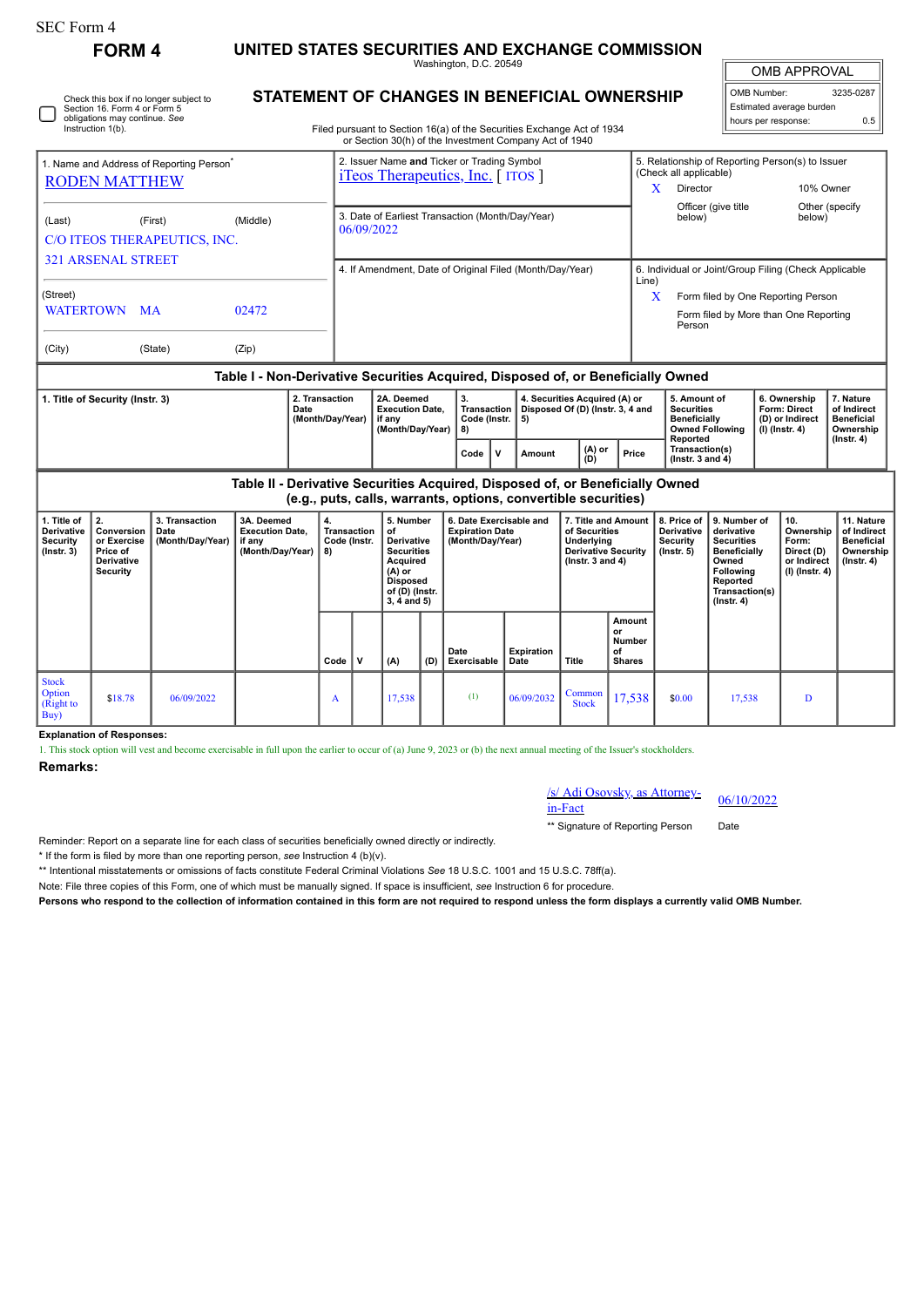| <b>SEC Form 4</b>                                                                                       | <b>FORM4</b>                                                                 |                                            |                                                                                  |                                                                            |                                                                                                                                  |                                                                                                                                         |     |                                                                       |                                                                |                                                                                                        |                                                      |                                                                                                           |                                                                                                                                                |                                                               |                                                                                    |                                                                                 |  |  |
|---------------------------------------------------------------------------------------------------------|------------------------------------------------------------------------------|--------------------------------------------|----------------------------------------------------------------------------------|----------------------------------------------------------------------------|----------------------------------------------------------------------------------------------------------------------------------|-----------------------------------------------------------------------------------------------------------------------------------------|-----|-----------------------------------------------------------------------|----------------------------------------------------------------|--------------------------------------------------------------------------------------------------------|------------------------------------------------------|-----------------------------------------------------------------------------------------------------------|------------------------------------------------------------------------------------------------------------------------------------------------|---------------------------------------------------------------|------------------------------------------------------------------------------------|---------------------------------------------------------------------------------|--|--|
|                                                                                                         |                                                                              |                                            |                                                                                  | UNITED STATES SECURITIES AND EXCHANGE COMMISSION<br>Washington, D.C. 20549 |                                                                                                                                  |                                                                                                                                         |     |                                                                       |                                                                |                                                                                                        |                                                      |                                                                                                           | <b>OMB APPROVAL</b>                                                                                                                            |                                                               |                                                                                    |                                                                                 |  |  |
| Check this box if no longer subject to<br>Section 16. Form 4 or Form 5<br>obligations may continue. See |                                                                              |                                            |                                                                                  |                                                                            |                                                                                                                                  | STATEMENT OF CHANGES IN BENEFICIAL OWNERSHIP                                                                                            |     |                                                                       |                                                                |                                                                                                        |                                                      |                                                                                                           |                                                                                                                                                |                                                               | 3235-0287<br>OMB Number:<br>Estimated average burden<br>hours per response:<br>0.5 |                                                                                 |  |  |
|                                                                                                         | Instruction 1(b).                                                            |                                            |                                                                                  |                                                                            | Filed pursuant to Section 16(a) of the Securities Exchange Act of 1934<br>or Section 30(h) of the Investment Company Act of 1940 |                                                                                                                                         |     |                                                                       |                                                                |                                                                                                        |                                                      |                                                                                                           |                                                                                                                                                |                                                               |                                                                                    |                                                                                 |  |  |
| 1. Name and Address of Reporting Person <sup>7</sup><br><b>RODEN MATTHEW</b>                            |                                                                              |                                            |                                                                                  |                                                                            | 2. Issuer Name and Ticker or Trading Symbol<br><i>i</i> Teos Therapeutics, Inc. [ITOS]                                           |                                                                                                                                         |     |                                                                       |                                                                |                                                                                                        |                                                      | (Check all applicable)<br>Director<br>X                                                                   |                                                                                                                                                | 5. Relationship of Reporting Person(s) to Issuer<br>10% Owner |                                                                                    |                                                                                 |  |  |
| (Last)<br>(First)<br>(Middle)<br>C/O ITEOS THERAPEUTICS, INC.                                           |                                                                              |                                            |                                                                                  |                                                                            | Officer (give title<br>3. Date of Earliest Transaction (Month/Day/Year)<br>below)<br>06/09/2022                                  |                                                                                                                                         |     |                                                                       |                                                                |                                                                                                        |                                                      |                                                                                                           |                                                                                                                                                | Other (specify<br>below)                                      |                                                                                    |                                                                                 |  |  |
| <b>321 ARSENAL STREET</b><br>(Street)                                                                   |                                                                              |                                            |                                                                                  |                                                                            | 4. If Amendment, Date of Original Filed (Month/Day/Year)                                                                         |                                                                                                                                         |     |                                                                       |                                                                |                                                                                                        |                                                      | 6. Individual or Joint/Group Filing (Check Applicable<br>Line)<br>Form filed by One Reporting Person<br>X |                                                                                                                                                |                                                               |                                                                                    |                                                                                 |  |  |
| <b>WATERTOWN</b><br>MA<br>02472<br>(Zip)                                                                |                                                                              |                                            |                                                                                  |                                                                            |                                                                                                                                  |                                                                                                                                         |     |                                                                       |                                                                |                                                                                                        |                                                      | Form filed by More than One Reporting<br>Person                                                           |                                                                                                                                                |                                                               |                                                                                    |                                                                                 |  |  |
| (City)                                                                                                  |                                                                              | (State)                                    |                                                                                  |                                                                            |                                                                                                                                  |                                                                                                                                         |     |                                                                       |                                                                |                                                                                                        |                                                      |                                                                                                           |                                                                                                                                                |                                                               |                                                                                    |                                                                                 |  |  |
|                                                                                                         |                                                                              |                                            | Table I - Non-Derivative Securities Acquired, Disposed of, or Beneficially Owned |                                                                            |                                                                                                                                  |                                                                                                                                         |     |                                                                       |                                                                |                                                                                                        |                                                      |                                                                                                           |                                                                                                                                                |                                                               |                                                                                    |                                                                                 |  |  |
| 1. Title of Security (Instr. 3)<br>Date                                                                 |                                                                              |                                            |                                                                                  | 2. Transaction<br>(Month/Day/Year)                                         |                                                                                                                                  | 2A. Deemed<br><b>Execution Date,</b><br>if any<br>(Month/Day/Year)                                                                      |     | 3.<br>Transaction<br>Code (Instr.<br>8)                               | 5)                                                             | 4. Securities Acquired (A) or<br>Disposed Of (D) (Instr. 3, 4 and                                      |                                                      | 5. Amount of<br><b>Securities</b><br>Beneficially<br><b>Owned Following</b>                               |                                                                                                                                                |                                                               | 6. Ownership<br>Form: Direct<br>(D) or Indirect<br>$(I)$ (Instr. 4)                | 7. Nature<br>of Indirect<br><b>Beneficial</b><br>Ownership                      |  |  |
|                                                                                                         |                                                                              |                                            |                                                                                  |                                                                            |                                                                                                                                  |                                                                                                                                         |     | $\mathbf v$<br>Code                                                   | Amount                                                         | (A) or<br>(D)                                                                                          | Price                                                | Reported<br>Transaction(s)<br>(Instr. $3$ and $4$ )                                                       |                                                                                                                                                |                                                               |                                                                                    | $($ Instr. 4 $)$                                                                |  |  |
|                                                                                                         |                                                                              |                                            | Table II - Derivative Securities Acquired, Disposed of, or Beneficially Owned    |                                                                            |                                                                                                                                  |                                                                                                                                         |     |                                                                       | (e.g., puts, calls, warrants, options, convertible securities) |                                                                                                        |                                                      |                                                                                                           |                                                                                                                                                |                                                               |                                                                                    |                                                                                 |  |  |
| 1. Title of<br>Derivative<br><b>Security</b><br>$($ Instr. 3 $)$                                        | 2.<br>Conversion<br>or Exercise<br>Price of<br>Derivative<br><b>Security</b> | 3. Transaction<br>Date<br>(Month/Day/Year) | 3A. Deemed<br><b>Execution Date,</b><br>if any<br>(Month/Day/Year)               | 4.<br>8)                                                                   | Transaction<br>Code (Instr.                                                                                                      | 5. Number<br>of<br><b>Derivative</b><br><b>Securities</b><br>Acquired<br>(A) or<br><b>Disposed</b><br>of (D) (Instr.<br>$3, 4$ and $5)$ |     | 6. Date Exercisable and<br><b>Expiration Date</b><br>(Month/Day/Year) |                                                                | 7. Title and Amount<br>of Securities<br>Underlying<br><b>Derivative Security</b><br>( $lnstr.3$ and 4) |                                                      | 8. Price of<br>Derivative<br><b>Security</b><br>$($ lnstr. 5 $)$                                          | 9. Number of<br>derivative<br><b>Securities</b><br><b>Beneficially</b><br>Owned<br>Following<br>Reported<br>Transaction(s)<br>$($ Instr. 4 $)$ |                                                               | 10.<br>Ownership<br>Form:<br>Direct (D)<br>or Indirect<br>(I) (Instr. 4)           | 11. Nature<br>of Indirect<br><b>Beneficial</b><br>Ownership<br>$($ Instr. 4 $)$ |  |  |
|                                                                                                         |                                                                              |                                            |                                                                                  | Code                                                                       | $\mathbf v$                                                                                                                      | (A)                                                                                                                                     | (D) | Date<br>Exercisable                                                   | <b>Expiration</b><br>Date                                      | Title                                                                                                  | Amount<br>or<br><b>Number</b><br>of<br><b>Shares</b> |                                                                                                           |                                                                                                                                                |                                                               |                                                                                    |                                                                                 |  |  |
| <b>Stock</b><br>Option<br>(Right to<br>Buy)                                                             | \$18.78                                                                      | 06/09/2022                                 |                                                                                  | A                                                                          |                                                                                                                                  | 17,538                                                                                                                                  |     | (1)                                                                   | 06/09/2032                                                     | Common<br><b>Stock</b>                                                                                 | 17,538                                               | \$0.00                                                                                                    | 17,538                                                                                                                                         |                                                               | $\mathbf{D}$                                                                       |                                                                                 |  |  |

**Explanation of Responses:**

1. This stock option will vest and become exercisable in full upon the earlier to occur of (a) June 9, 2023 or (b) the next annual meeting of the Issuer's stockholders.

## **Remarks:**

/s/ Adi Osovsky, as Attorney-in-Fact 06/10/2022

\*\* Signature of Reporting Person Date

Reminder: Report on a separate line for each class of securities beneficially owned directly or indirectly.

\* If the form is filed by more than one reporting person, *see* Instruction 4 (b)(v).

\*\* Intentional misstatements or omissions of facts constitute Federal Criminal Violations *See* 18 U.S.C. 1001 and 15 U.S.C. 78ff(a).

Note: File three copies of this Form, one of which must be manually signed. If space is insufficient, *see* Instruction 6 for procedure.

**Persons who respond to the collection of information contained in this form are not required to respond unless the form displays a currently valid OMB Number.**